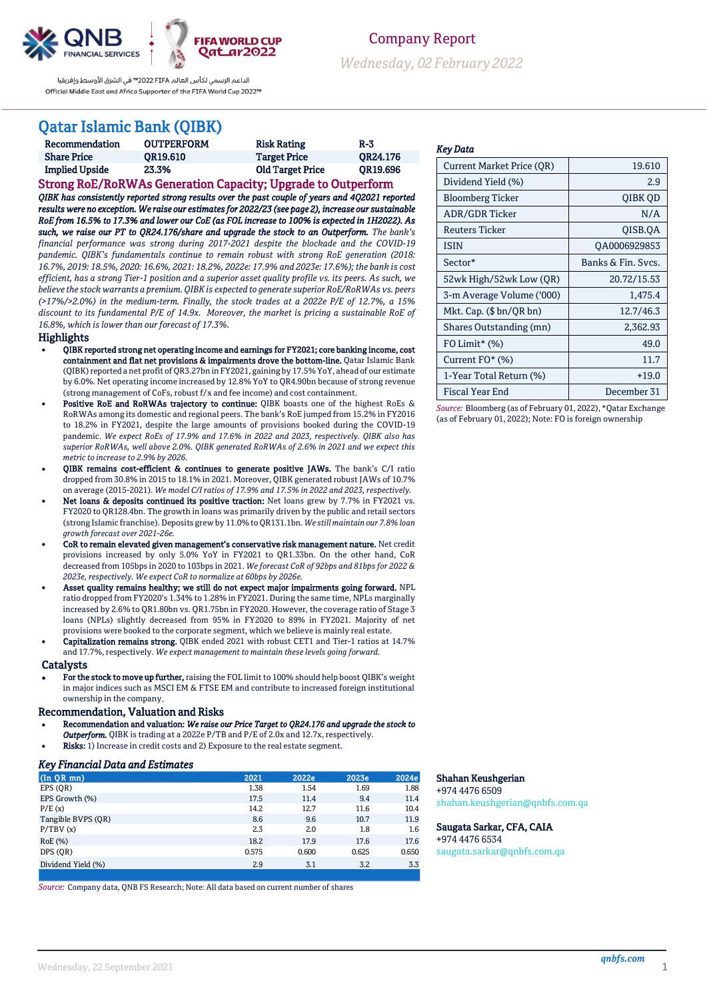



Company Report

*Wednesday, 02February 2022*

الداعم الرسمى لكأس العالم PIFA™ فى الشرق الأوسط وإفريقيا Official Middle East and Africa Supporter of the FIFA World Cup 2022™

# Qatar Islamic Bank (QIBK)

| Recommendation        | <b>OUTPERFORM</b> | <b>Risk Rating</b>      | $R-3$    |
|-----------------------|-------------------|-------------------------|----------|
| <b>Share Price</b>    | OR19.610          | <b>Target Price</b>     | OR24.176 |
| <b>Implied Upside</b> | 23.3%             | <b>Old Target Price</b> | OR19.696 |

Strong RoE/RoRWAs Generation Capacity; Upgrade to Outperform *QIBK has consistently reported strong results over the past couple of years and 4Q2021 reported results were no exception. We raise our estimates for 2022/23 (see page 2), increase our sustainable RoE from 16.5% to 17.3% and lower our CoE (as FOL increase to 100% is expected in 1H2022). As such, we raise our PT to QR24.176/share and upgrade the stock to an Outperform. The bank's financial performance was strong during 2017-2021 despite the blockade and the COVID-19 pandemic. QIBK's fundamentals continue to remain robust with strong RoE generation (2018: 16.7%, 2019: 18.5%, 2020: 16.6%, 2021: 18.2%, 2022e: 17.9% and 2023e: 17.6%); the bank is cost efficient, has a strong Tier-1 position and a superior asset quality profile vs. its peers. As such, we believe the stock warrants a premium.QIBK is expected to generate superior RoE/RoRWAs vs. peers (>17%/>2.0%) in the medium-term. Finally, the stock trades at a 2022e P/E of 12.7%, a 15% discount to its fundamental P/E of 14.9x. Moreover, the market is pricing a sustainable RoE of 16.8%, which is lower than our forecast of 17.3%.* 

#### **Highlights**

- QIBK reported strong net operating income and earnings for FY2021; core banking income, cost containment and flat net provisions & impairments drove the bottom-line. Qatar Islamic Bank (QIBK) reported a net profit of QR3.27bn in FY2021, gaining by 17.5% YoY, ahead of our estimate by 6.0%. Net operating income increased by 12.8% YoY to QR4.90bn because of strong revenue (strong management of CoFs, robust f/x and fee income) and cost containment.
- Positive RoE and RoRWAs trajectory to continue: QIBK boasts one of the highest RoEs & RoRWAs among its domestic and regional peers. The bank's RoE jumped from 15.2% in FY2016 to 18.2% in FY2021, despite the large amounts of provisions booked during the COVID-19 pandemic. *We expect RoEs of 17.9% and 17.6% in 2022 and 2023, respectively. QIBK also has superior RoRWAs, well above 2.0%. QIBK generated RoRWAs of 2.6% in 2021 and we expect this metric to increase to 2.9% by 2026.*
- QIBK remains cost-efficient & continues to generate positive JAWs. The bank's C/I ratio dropped from 30.8% in 2015 to 18.1% in 2021. Moreover, QIBK generated robust JAWs of 10.7% on average (2015-2021). *We model C/I ratios of 17.9% and 17.5% in 2022 and 2023, respectively.*
- Net loans & deposits continued its positive traction: Net loans grew by 7.7% in FY2021 vs. FY2020 to QR128.4bn. The growth in loans was primarily driven by the public and retail sectors (strong Islamic franchise). Deposits grew by 11.0% to QR131.1bn.*We still maintain our 7.8% loan growth forecast over 2021-26e.*
- CoR to remain elevated given management's conservative risk management nature. Net credit provisions increased by only 5.0% YoY in FY2021 to QR1.33bn. On the other hand, CoR decreased from 105bps in 2020 to 103bps in 2021. *We forecast CoR of 92bps and 81bps for 2022 & 2023e, respectively. We expect CoR to normalize at 60bps by 2026e.*
- Asset quality remains healthy; we still do not expect major impairments going forward. NPL ratio dropped from FY2020's 1.34% to 1.28% in FY2021. During the same time, NPLs marginally increased by 2.6% to QR1.80bn vs. QR1.75bn in FY2020. However, the coverage ratio of Stage 3 loans (NPLs) slightly decreased from 95% in FY2020 to 89% in FY2021. Majority of net provisions were booked to the corporate segment, which we believe is mainly real estate.
- Capitalization remains strong. QIBK ended 2021 with robust CET1 and Tier-1 ratios at 14.7% and 17.7%, respectively. *We expect management to maintain these levels going forward.*

#### Catalysts

 For the stock to move up further, raising the FOL limit to 100% should help boost QIBK's weight in major indices such as MSCI EM & FTSE EM and contribute to increased foreign institutional ownership in the company.

#### Recommendation, Valuation and Risks

- Recommendation and valuation: *We raise our Price Target to QR24.176 and upgrade the stock to*
- *Outperform.* QIBK is trading at a 2022e P/TB and P/E of 2.0x and 12.7x, respectively.
- Risks: 1) Increase in credit costs and 2) Exposure to the real estate segment.

### *Key Financial Data and Estimates*

| $(In$ QR $mn)$     | 2021  | 2022e | 2023e | 2024e |
|--------------------|-------|-------|-------|-------|
| EPS (OR)           | 1.38  | 1.54  | 1.69  | 1.88  |
| EPS Growth (%)     | 17.5  | 11.4  | 9.4   | 11.4  |
| P/E(x)             | 14.2  | 12.7  | 11.6  | 10.4  |
| Tangible BVPS (OR) | 8.6   | 9.6   | 10.7  | 11.9  |
| P/TBV(x)           | 2.3   | 2.0   | 1.8   | 1.6   |
| RoE (%)            | 18.2  | 17.9  | 17.6  | 17.6  |
| DPS (OR)           | 0.575 | 0.600 | 0.625 | 0.650 |
| Dividend Yield (%) | 2.9   | 3.1   | 3.2   | 3.3   |

*Source:* Company data, QNB FS Research; Note: All data based on current number of shares

### *Key Data*

| <b>Current Market Price (OR)</b> | 19.610             |
|----------------------------------|--------------------|
| Dividend Yield (%)               | 2.9                |
| Bloomberg Ticker                 | QIBK QD            |
| ADR/GDR Ticker                   | N/A                |
| Reuters Ticker                   | OISB.OA            |
| <b>ISIN</b>                      | QA0006929853       |
| Sector*                          | Banks & Fin. Svcs. |
| 52wk High/52wk Low (QR)          | 20.72/15.53        |
| 3-m Average Volume ('000)        | 1,475.4            |
| Mkt. Cap. $(\$bn/QR bn)$         | 12.7/46.3          |
| Shares Outstanding (mn)          | 2,362.93           |
| $FO$ Limit* $(\%)$               | 49.0               |
| Current FO* (%)                  | 11.7               |
| 1-Year Total Return (%)          | $+19.0$            |
| Fiscal Year End                  | December 31        |

*Source:* Bloomberg (as of February 01, 2022), \*Qatar Exchange (as of February 01, 2022); Note: FO is foreign ownership

### Shahan Keushgerian

+974 4476 6509 [shahan.keushgerian@qnbfs.com.qa](mailto:shahan.keushgerian@qnbfs.com.qa)

### Saugata Sarkar, CFA, CAIA

+974 4476 6534 [saugata.sarkar@qnbfs.com.qa](mailto:saugata.sarkar@qnbfs.com.qa)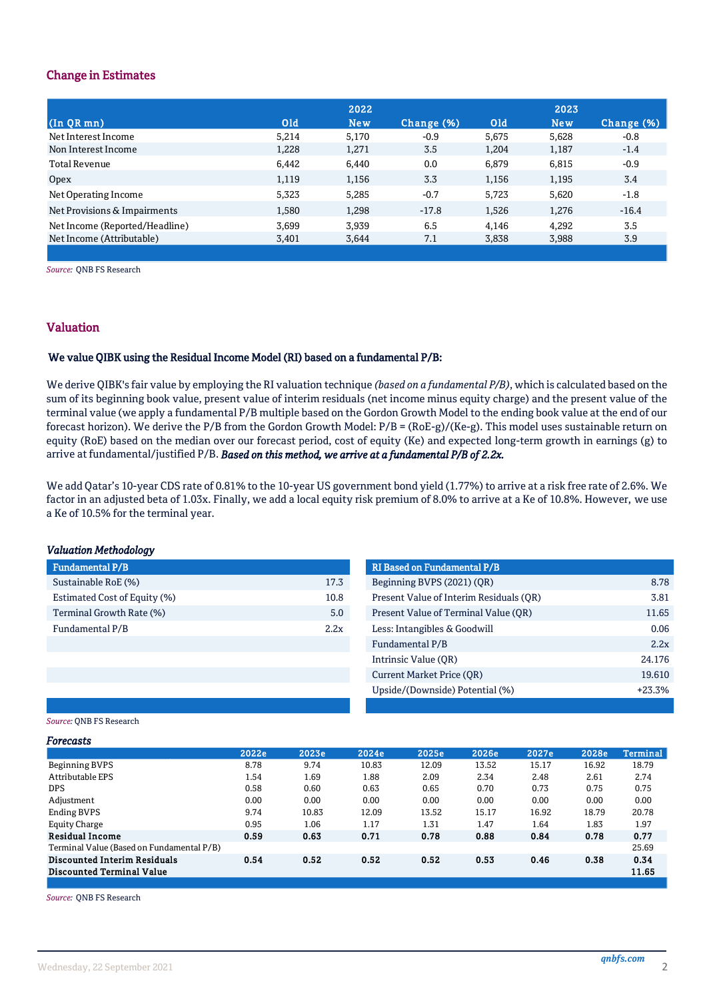### Change in Estimates

|                                |            | 2022       |            |            | 2023       |            |
|--------------------------------|------------|------------|------------|------------|------------|------------|
| $(\ln QR$ mn $)$               | <b>Old</b> | <b>New</b> | Change (%) | <b>Old</b> | <b>New</b> | Change (%) |
| Net Interest Income            | 5,214      | 5,170      | $-0.9$     | 5.675      | 5.628      | $-0.8$     |
| Non Interest Income            | 1,228      | 1,271      | 3.5        | 1,204      | 1,187      | $-1.4$     |
| Total Revenue                  | 6,442      | 6.440      | 0.0        | 6.879      | 6,815      | $-0.9$     |
| Opex                           | 1,119      | 1,156      | 3.3        | 1,156      | 1,195      | 3.4        |
| Net Operating Income           | 5,323      | 5,285      | $-0.7$     | 5.723      | 5,620      | $-1.8$     |
| Net Provisions & Impairments   | 1,580      | 1.298      | $-17.8$    | 1,526      | 1.276      | $-16.4$    |
| Net Income (Reported/Headline) | 3,699      | 3,939      | 6.5        | 4.146      | 4,292      | 3.5        |
| Net Income (Attributable)      | 3,401      | 3,644      | 7.1        | 3,838      | 3,988      | 3.9        |
|                                |            |            |            |            |            |            |

*Source:* QNB FS Research

### Valuation

### We value QIBK using the Residual Income Model (RI) based on a fundamental P/B:

We derive QIBK's fair value by employing the RI valuation technique *(based on a fundamental P/B)*, which is calculated based on the sum of its beginning book value, present value of interim residuals (net income minus equity charge) and the present value of the terminal value (we apply a fundamental P/B multiple based on the Gordon Growth Model to the ending book value at the end of our forecast horizon). We derive the P/B from the Gordon Growth Model: P/B = (RoE-g)/(Ke-g). This model uses sustainable return on equity (RoE) based on the median over our forecast period, cost of equity (Ke) and expected long-term growth in earnings (g) to arrive at fundamental/justified P/B. *Based on this method, we arrive at a fundamental P/B of 2.2x.*

b) We add Qatar's 10-year CDS rate of 0.81% to the 10-year US government bond yield (1.77%) to arrive at a risk free rate of 2.6%. We factor in an adjusted beta of 1.03x. Finally, we add a local equity risk premium of 8.0% to arrive at a Ke of 10.8%. However, we use a Ke of 10.5% for the terminal year.

### *Valuation Methodology*

| Fundamental P/B              |      | <b>RI Based on Fundamental P/B</b> |
|------------------------------|------|------------------------------------|
| Sustainable RoE (%)          | 17.3 | Beginning BVPS (2021) (QR)         |
| Estimated Cost of Equity (%) | 10.8 | Present Value of Interim Resid     |
| Terminal Growth Rate (%)     | 5.0  | Present Value of Terminal Val      |
| Fundamental P/B              | 2.2x | Less: Intangibles & Goodwill       |
|                              |      | <b>EIL</b> 1.1P./P                 |

| Fundamental P/B              |      | <b>RI Based on Fundamental P/B</b>      |          |
|------------------------------|------|-----------------------------------------|----------|
| Sustainable RoE (%)          | 17.3 | Beginning BVPS (2021) (QR)              | 8.78     |
| Estimated Cost of Equity (%) | 10.8 | Present Value of Interim Residuals (OR) | 3.81     |
| Terminal Growth Rate (%)     | 5.0  | Present Value of Terminal Value (OR)    | 11.65    |
| Fundamental P/B              | 2.2x | Less: Intangibles & Goodwill            | 0.06     |
|                              |      | Fundamental P/B                         | 2.2x     |
|                              |      | Intrinsic Value (OR)                    | 24.176   |
|                              |      | Current Market Price (OR)               | 19.610   |
|                              |      | Upside/(Downside) Potential (%)         | $+23.3%$ |
|                              |      |                                         |          |

### *Source:* QNB FS Research

| Forecasts                                 |       |       |       |       |       |       |       |                 |
|-------------------------------------------|-------|-------|-------|-------|-------|-------|-------|-----------------|
|                                           | 2022e | 2023e | 2024e | 2025e | 2026e | 2027e | 2028e | <b>Terminal</b> |
| Beginning BVPS                            | 8.78  | 9.74  | 10.83 | 12.09 | 13.52 | 15.17 | 16.92 | 18.79           |
| Attributable EPS                          | 1.54  | 1.69  | 1.88  | 2.09  | 2.34  | 2.48  | 2.61  | 2.74            |
| <b>DPS</b>                                | 0.58  | 0.60  | 0.63  | 0.65  | 0.70  | 0.73  | 0.75  | 0.75            |
| Adjustment                                | 0.00  | 0.00  | 0.00  | 0.00  | 0.00  | 0.00  | 0.00  | 0.00            |
| <b>Ending BVPS</b>                        | 9.74  | 10.83 | 12.09 | 13.52 | 15.17 | 16.92 | 18.79 | 20.78           |
| Equity Charge                             | 0.95  | 1.06  | 1.17  | 1.31  | 1.47  | 1.64  | 1.83  | 1.97            |
| <b>Residual Income</b>                    | 0.59  | 0.63  | 0.71  | 0.78  | 0.88  | 0.84  | 0.78  | 0.77            |
| Terminal Value (Based on Fundamental P/B) |       |       |       |       |       |       |       | 25.69           |
| <b>Discounted Interim Residuals</b>       | 0.54  | 0.52  | 0.52  | 0.52  | 0.53  | 0.46  | 0.38  | 0.34            |
| <b>Discounted Terminal Value</b>          |       |       |       |       |       |       |       | 11.65           |
|                                           |       |       |       |       |       |       |       |                 |

*Source:* QNB FS Research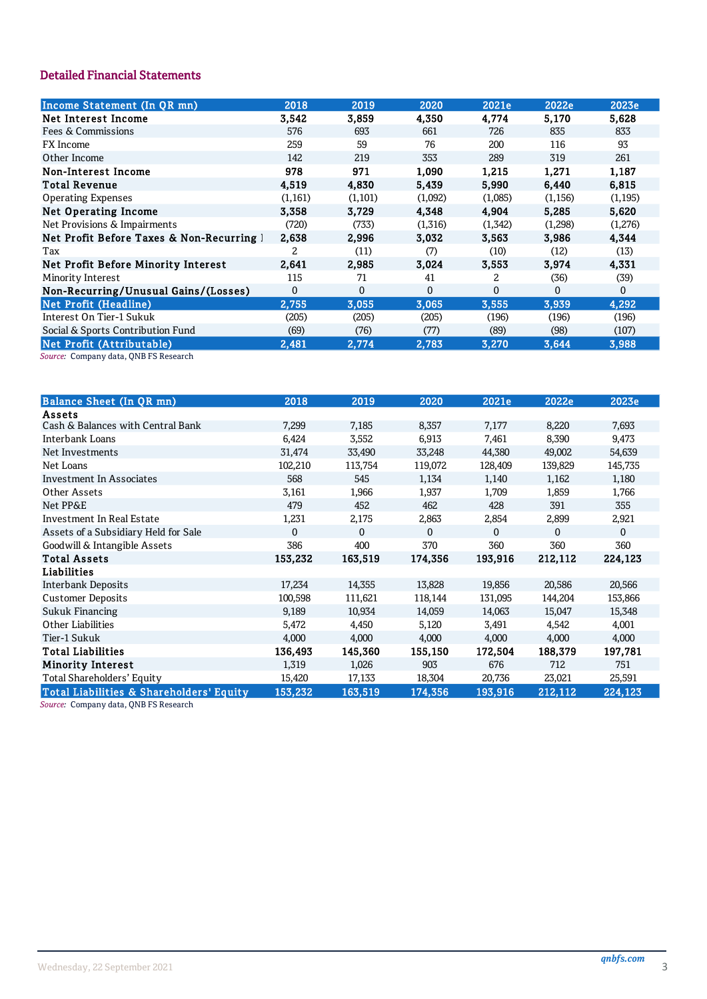## **Detailed Financial Statements**

| Income Statement (In QR mn)               | 2018     | 2019     | 2020     | 2021e    | 2022e    | 2023e        |
|-------------------------------------------|----------|----------|----------|----------|----------|--------------|
| Net Interest Income                       | 3,542    | 3,859    | 4,350    | 4,774    | 5,170    | 5,628        |
| Fees & Commissions                        | 576      | 693      | 661      | 726      | 835      | 833          |
| FX Income                                 | 259      | 59       | 76       | 200      | 116      | 93           |
| Other Income                              | 142      | 219      | 353      | 289      | 319      | 261          |
| Non-Interest Income                       | 978      | 971      | 1,090    | 1,215    | 1,271    | 1,187        |
| <b>Total Revenue</b>                      | 4,519    | 4,830    | 5,439    | 5,990    | 6,440    | 6,815        |
| <b>Operating Expenses</b>                 | (1,161)  | (1,101)  | (1,092)  | (1,085)  | (1, 156) | (1, 195)     |
| <b>Net Operating Income</b>               | 3.358    | 3.729    | 4,348    | 4.904    | 5,285    | 5,620        |
| Net Provisions & Impairments              | (720)    | (733)    | (1,316)  | (1,342)  | (1,298)  | (1,276)      |
| Net Profit Before Taxes & Non-Recurring 1 | 2,638    | 2,996    | 3,032    | 3,563    | 3,986    | 4,344        |
| Tax                                       | 2        | (11)     | (7)      | (10)     | (12)     | (13)         |
| Net Profit Before Minority Interest       | 2.641    | 2,985    | 3,024    | 3,553    | 3,974    | 4,331        |
| Minority Interest                         | 115      | 71       | 41       | 2        | (36)     | (39)         |
| Non-Recurring/Unusual Gains/(Losses)      | $\Omega$ | $\Omega$ | $\Omega$ | $\Omega$ | $\Omega$ | $\mathbf{0}$ |
| <b>Net Profit (Headline)</b>              | 2,755    | 3,055    | 3,065    | 3,555    | 3,939    | 4,292        |
| Interest On Tier-1 Sukuk                  | (205)    | (205)    | (205)    | (196)    | (196)    | (196)        |
| Social & Sports Contribution Fund         | (69)     | (76)     | (77)     | (89)     | (98)     | (107)        |
| Net Profit (Attributable)                 | 2.481    | 2.774    | 2,783    | 3,270    | 3.644    | 3.988        |

Source: Company data, QNB FS Research

| <b>Balance Sheet (In QR mn)</b>          | 2018         | 2019         | 2020     | 2021e   | 2022e        | 2023e    |
|------------------------------------------|--------------|--------------|----------|---------|--------------|----------|
| Assets                                   |              |              |          |         |              |          |
| Cash & Balances with Central Bank        | 7,299        | 7,185        | 8,357    | 7,177   | 8,220        | 7,693    |
| Interbank Loans                          | 6,424        | 3,552        | 6,913    | 7,461   | 8,390        | 9,473    |
| Net Investments                          | 31,474       | 33,490       | 33,248   | 44,380  | 49,002       | 54,639   |
| Net Loans                                | 102,210      | 113,754      | 119,072  | 128,409 | 139,829      | 145,735  |
| Investment In Associates                 | 568          | 545          | 1,134    | 1,140   | 1,162        | 1,180    |
| Other Assets                             | 3,161        | 1,966        | 1,937    | 1,709   | 1,859        | 1,766    |
| Net PP&E                                 | 479          | 452          | 462      | 428     | 391          | 355      |
| Investment In Real Estate                | 1,231        | 2,175        | 2,863    | 2,854   | 2,899        | 2,921    |
| Assets of a Subsidiary Held for Sale     | $\mathbf{0}$ | $\mathbf{0}$ | $\Omega$ | 0       | $\mathbf{0}$ | $\Omega$ |
| Goodwill & Intangible Assets             | 386          | 400          | 370      | 360     | 360          | 360      |
| <b>Total Assets</b>                      | 153,232      | 163,519      | 174,356  | 193,916 | 212,112      | 224,123  |
| <b>Liabilities</b>                       |              |              |          |         |              |          |
| <b>Interbank Deposits</b>                | 17,234       | 14,355       | 13,828   | 19,856  | 20,586       | 20,566   |
| <b>Customer Deposits</b>                 | 100,598      | 111,621      | 118,144  | 131,095 | 144,204      | 153,866  |
| <b>Sukuk Financing</b>                   | 9,189        | 10,934       | 14,059   | 14,063  | 15,047       | 15,348   |
| <b>Other Liabilities</b>                 | 5,472        | 4,450        | 5,120    | 3,491   | 4,542        | 4,001    |
| Tier-1 Sukuk                             | 4,000        | 4,000        | 4,000    | 4,000   | 4,000        | 4,000    |
| <b>Total Liabilities</b>                 | 136,493      | 145,360      | 155,150  | 172,504 | 188,379      | 197,781  |
| <b>Minority Interest</b>                 | 1,319        | 1,026        | 903      | 676     | 712          | 751      |
| Total Shareholders' Equity               | 15,420       | 17,133       | 18,304   | 20,736  | 23,021       | 25,591   |
| Total Liabilities & Shareholders' Equity | 153,232      | 163,519      | 174,356  | 193,916 | 212,112      | 224,123  |

Source: Company data, QNB FS Research

 $\overline{3}$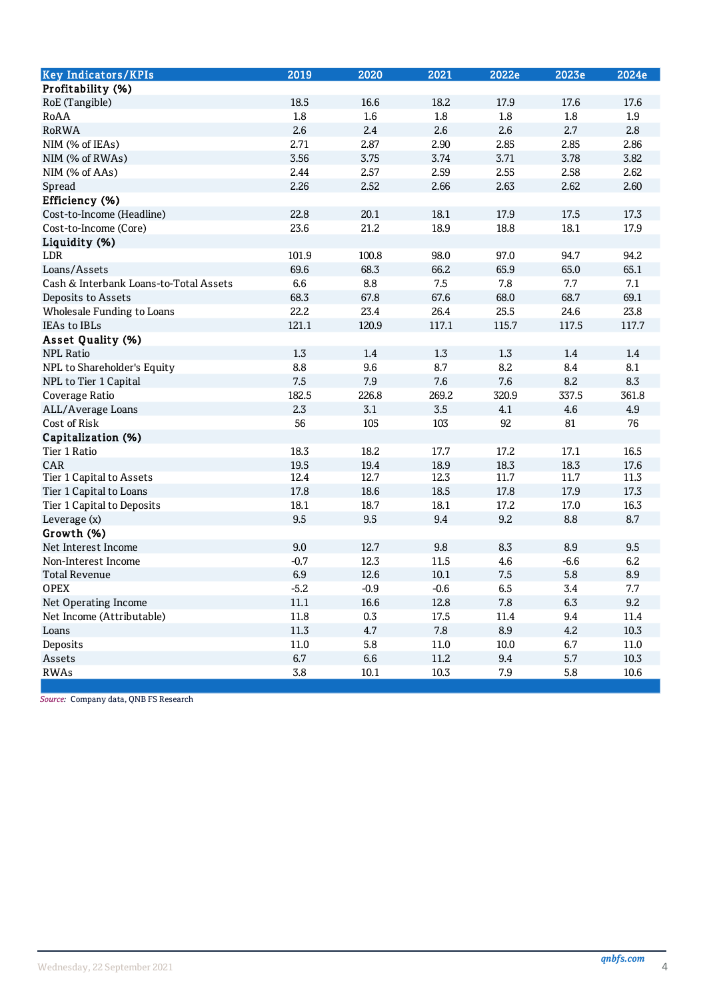| <b>Key Indicators/KPIs</b>             | 2019     | 2020   | 2021     | 2022e | 2023e   | 2024e   |
|----------------------------------------|----------|--------|----------|-------|---------|---------|
| Profitability (%)                      |          |        |          |       |         |         |
| RoE (Tangible)                         | 18.5     | 16.6   | 18.2     | 17.9  | 17.6    | 17.6    |
| RoAA                                   | $1.8\,$  | 1.6    | 1.8      | 1.8   | 1.8     | 1.9     |
| <b>RoRWA</b>                           | 2.6      | 2.4    | 2.6      | 2.6   | 2.7     | 2.8     |
| NIM (% of IEAs)                        | 2.71     | 2.87   | 2.90     | 2.85  | 2.85    | 2.86    |
| NIM (% of RWAs)                        | 3.56     | 3.75   | 3.74     | 3.71  | 3.78    | 3.82    |
| NIM (% of AAs)                         | 2.44     | 2.57   | 2.59     | 2.55  | 2.58    | 2.62    |
| Spread                                 | 2.26     | 2.52   | 2.66     | 2.63  | 2.62    | 2.60    |
| Efficiency (%)                         |          |        |          |       |         |         |
| Cost-to-Income (Headline)              | 22.8     | 20.1   | 18.1     | 17.9  | 17.5    | 17.3    |
| Cost-to-Income (Core)                  | 23.6     | 21.2   | 18.9     | 18.8  | 18.1    | 17.9    |
| Liquidity (%)                          |          |        |          |       |         |         |
| LDR                                    | 101.9    | 100.8  | 98.0     | 97.0  | 94.7    | 94.2    |
| Loans/Assets                           | 69.6     | 68.3   | 66.2     | 65.9  | 65.0    | 65.1    |
| Cash & Interbank Loans-to-Total Assets | 6.6      | 8.8    | 7.5      | 7.8   | 7.7     | 7.1     |
| Deposits to Assets                     | 68.3     | 67.8   | 67.6     | 68.0  | 68.7    | 69.1    |
| Wholesale Funding to Loans             | 22.2     | 23.4   | 26.4     | 25.5  | 24.6    | 23.8    |
| IEAs to IBLs                           | 121.1    | 120.9  | 117.1    | 115.7 | 117.5   | 117.7   |
| Asset Quality (%)                      |          |        |          |       |         |         |
| <b>NPL Ratio</b>                       | 1.3      | 1.4    | 1.3      | 1.3   | 1.4     | 1.4     |
| NPL to Shareholder's Equity            | 8.8      | 9.6    | 8.7      | 8.2   | 8.4     | 8.1     |
| NPL to Tier 1 Capital                  | 7.5      | 7.9    | 7.6      | 7.6   | 8.2     | 8.3     |
| Coverage Ratio                         | 182.5    | 226.8  | 269.2    | 320.9 | 337.5   | 361.8   |
| ALL/Average Loans                      | 2.3      | 3.1    | 3.5      | 4.1   | 4.6     | 4.9     |
| Cost of Risk                           | 56       | 105    | 103      | 92    | 81      | 76      |
| Capitalization (%)                     |          |        |          |       |         |         |
| Tier 1 Ratio                           | 18.3     | 18.2   | 17.7     | 17.2  | 17.1    | 16.5    |
| CAR                                    | 19.5     | 19.4   | 18.9     | 18.3  | 18.3    | 17.6    |
| Tier 1 Capital to Assets               | 12.4     | 12.7   | 12.3     | 11.7  | 11.7    | 11.3    |
| Tier 1 Capital to Loans                | 17.8     | 18.6   | 18.5     | 17.8  | 17.9    | 17.3    |
| Tier 1 Capital to Deposits             | 18.1     | 18.7   | 18.1     | 17.2  | 17.0    | 16.3    |
| Leverage (x)                           | 9.5      | 9.5    | 9.4      | 9.2   | 8.8     | 8.7     |
| Growth (%)                             |          |        |          |       |         |         |
| Net Interest Income                    | 9.0      | 12.7   | 9.8      | 8.3   | 8.9     | 9.5     |
| Non-Interest Income                    | $-0.7$   | 12.3   | 11.5     | 4.6   | $-6.6$  | 6.2     |
| <b>Total Revenue</b>                   | 6.9      | 12.6   | 10.1     | 7.5   | 5.8     | 8.9     |
| <b>OPEX</b>                            | $-5.2$   | $-0.9$ | $-0.6$   | 6.5   | $3.4\,$ | $7.7\,$ |
| Net Operating Income                   | $11.1\,$ | 16.6   | 12.8     | 7.8   | 6.3     | 9.2     |
| Net Income (Attributable)              | 11.8     | 0.3    | 17.5     | 11.4  | 9.4     | 11.4    |
| Loans                                  | 11.3     | 4.7    | 7.8      | 8.9   | 4.2     | 10.3    |
| Deposits                               | 11.0     | 5.8    | $11.0\,$ | 10.0  | 6.7     | 11.0    |
| Assets                                 | 6.7      | 6.6    | 11.2     | 9.4   | 5.7     | 10.3    |
| <b>RWAs</b>                            | 3.8      | 10.1   | 10.3     | 7.9   | 5.8     | 10.6    |

Source: Company data, QNB FS Research